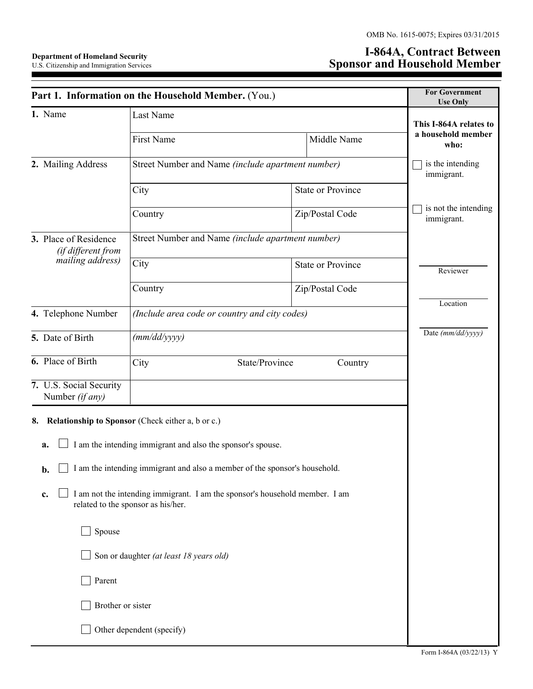## **Department of Homeland Security**  U.S. Citizenship and Immigration Services

## **I-864A, Contract Between Sponsor and Household Member**

| Part 1. Information on the Household Member. (You.)                                                                     | <b>For Government</b><br><b>Use Only</b>                    |                                               |                 |                                    |  |  |  |  |
|-------------------------------------------------------------------------------------------------------------------------|-------------------------------------------------------------|-----------------------------------------------|-----------------|------------------------------------|--|--|--|--|
| 1. Name                                                                                                                 | Last Name                                                   | This I-864A relates to                        |                 |                                    |  |  |  |  |
|                                                                                                                         | <b>First Name</b>                                           |                                               | Middle Name     | a household member<br>who:         |  |  |  |  |
| 2. Mailing Address                                                                                                      | Street Number and Name (include apartment number)           | is the intending<br>immigrant.                |                 |                                    |  |  |  |  |
|                                                                                                                         | City                                                        | <b>State or Province</b>                      |                 |                                    |  |  |  |  |
|                                                                                                                         | Country                                                     |                                               | Zip/Postal Code | is not the intending<br>immigrant. |  |  |  |  |
| 3. Place of Residence<br>(if different from                                                                             | Street Number and Name (include apartment number)           |                                               |                 |                                    |  |  |  |  |
| mailing address)                                                                                                        | City                                                        | <b>State or Province</b>                      |                 | Reviewer                           |  |  |  |  |
|                                                                                                                         | Country                                                     |                                               | Zip/Postal Code | Location                           |  |  |  |  |
| 4. Telephone Number                                                                                                     |                                                             | (Include area code or country and city codes) |                 |                                    |  |  |  |  |
| 5. Date of Birth                                                                                                        | (mm/dd/yyyy)                                                | Date (mm/dd/yyyy)                             |                 |                                    |  |  |  |  |
| 6. Place of Birth                                                                                                       | City                                                        | State/Province                                | Country         |                                    |  |  |  |  |
| 7. U.S. Social Security<br>Number (if any)                                                                              |                                                             |                                               |                 |                                    |  |  |  |  |
| Relationship to Sponsor (Check either a, b or c.)<br>8.<br>a.                                                           | I am the intending immigrant and also the sponsor's spouse. |                                               |                 |                                    |  |  |  |  |
| I am the intending immigrant and also a member of the sponsor's household.<br>b.                                        |                                                             |                                               |                 |                                    |  |  |  |  |
| I am not the intending immigrant. I am the sponsor's household member. I am<br>c.<br>related to the sponsor as his/her. |                                                             |                                               |                 |                                    |  |  |  |  |
| Spouse                                                                                                                  |                                                             |                                               |                 |                                    |  |  |  |  |
| Son or daughter (at least 18 years old)                                                                                 |                                                             |                                               |                 |                                    |  |  |  |  |
| Parent                                                                                                                  |                                                             |                                               |                 |                                    |  |  |  |  |
| Brother or sister                                                                                                       |                                                             |                                               |                 |                                    |  |  |  |  |
| Other dependent (specify)                                                                                               |                                                             |                                               |                 |                                    |  |  |  |  |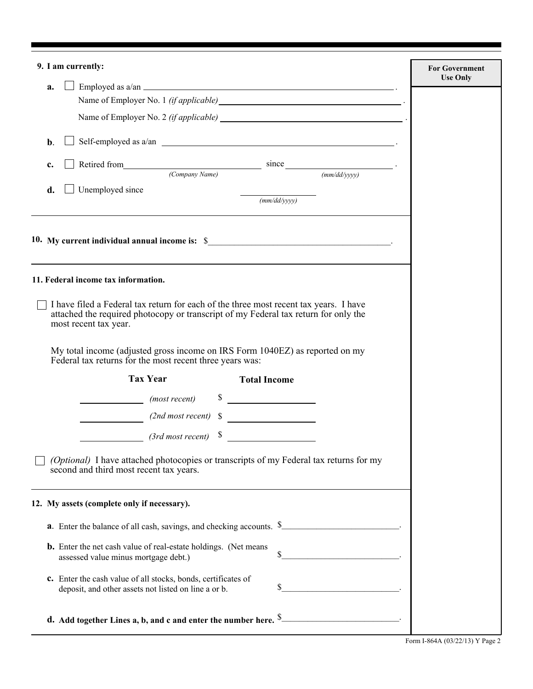| 9. I am currently:                                                                                                                                                                                                                                                                                 | <b>For Government</b><br><b>Use Only</b> |
|----------------------------------------------------------------------------------------------------------------------------------------------------------------------------------------------------------------------------------------------------------------------------------------------------|------------------------------------------|
| Employed as $a/an$<br>a.                                                                                                                                                                                                                                                                           |                                          |
| Name of Employer No. 1 <i>(if applicable)</i> example and the set of the set of the set of the set of the set of the set of the set of the set of the set of the set of the set of the set of the set of the set of the set of the                                                                 |                                          |
|                                                                                                                                                                                                                                                                                                    |                                          |
| $\mathbf{b}$ .                                                                                                                                                                                                                                                                                     |                                          |
| Retired from $\frac{\text{Since}}{\text{(Common answer Name)}}$ = $\frac{\text{since}}{\text{(mm/dd/yyyy)}}$ .<br>c.                                                                                                                                                                               |                                          |
|                                                                                                                                                                                                                                                                                                    |                                          |
| Unemployed since<br>d.<br>$\overline{(mm/dd/yyyy)}$                                                                                                                                                                                                                                                |                                          |
|                                                                                                                                                                                                                                                                                                    |                                          |
| 11. Federal income tax information.                                                                                                                                                                                                                                                                |                                          |
| attached the required photocopy or transcript of my Federal tax return for only the<br>most recent tax year.<br>My total income (adjusted gross income on IRS Form 1040EZ) as reported on my<br>Federal tax returns for the most recent three years was:<br><b>Tax Year</b><br><b>Total Income</b> |                                          |
| $\sim$<br>(most recent)                                                                                                                                                                                                                                                                            |                                          |
|                                                                                                                                                                                                                                                                                                    |                                          |
| $(2nd most recent)$ \$                                                                                                                                                                                                                                                                             |                                          |
| (Optional) I have attached photocopies or transcripts of my Federal tax returns for my<br>second and third most recent tax years.                                                                                                                                                                  |                                          |
| 12. My assets (complete only if necessary).                                                                                                                                                                                                                                                        |                                          |
| <b>a</b> . Enter the balance of all cash, savings, and checking accounts. \$                                                                                                                                                                                                                       |                                          |
| <b>b.</b> Enter the net cash value of real-estate holdings. (Net means<br><u> 1989 - Johann Barnett, fransk politik (</u><br>S<br>assessed value minus mortgage debt.)                                                                                                                             |                                          |
| c. Enter the cash value of all stocks, bonds, certificates of<br>\$<br>deposit, and other assets not listed on line a or b.                                                                                                                                                                        |                                          |
| d. Add together Lines a, b, and c and enter the number here. $\frac{1}{2}$                                                                                                                                                                                                                         |                                          |